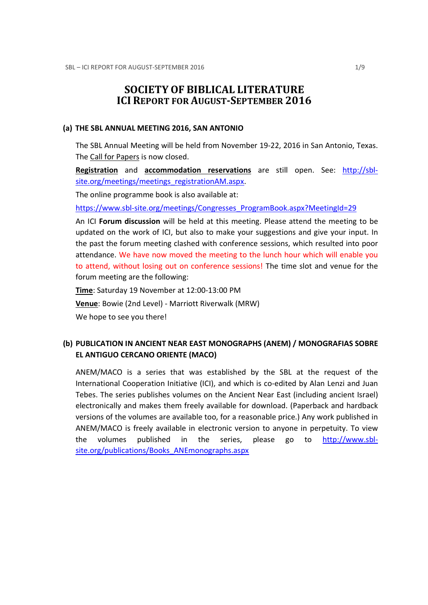# SOCIETY OF BIBLICAL LITERATURE ICI REPORT FOR AUGUST-SEPTEMBER 2016

#### (a) THE SBL ANNUAL MEETING 2016, SAN ANTONIO

The SBL Annual Meeting will be held from November 19-22, 2016 in San Antonio, Texas. The Call for Papers is now closed.

Registration and accommodation reservations are still open. See: http://sblsite.org/meetings/meetings\_registrationAM.aspx.

The online programme book is also available at:

https://www.sbl-site.org/meetings/Congresses\_ProgramBook.aspx?MeetingId=29

An ICI Forum discussion will be held at this meeting. Please attend the meeting to be updated on the work of ICI, but also to make your suggestions and give your input. In the past the forum meeting clashed with conference sessions, which resulted into poor attendance. We have now moved the meeting to the lunch hour which will enable you to attend, without losing out on conference sessions! The time slot and venue for the forum meeting are the following:

Time: Saturday 19 November at 12:00-13:00 PM Venue: Bowie (2nd Level) - Marriott Riverwalk (MRW) We hope to see you there!

## (b) PUBLICATION IN ANCIENT NEAR EAST MONOGRAPHS (ANEM) / MONOGRAFIAS SOBRE EL ANTIGUO CERCANO ORIENTE (MACO)

ANEM/MACO is a series that was established by the SBL at the request of the International Cooperation Initiative (ICI), and which is co-edited by Alan Lenzi and Juan Tebes. The series publishes volumes on the Ancient Near East (including ancient Israel) electronically and makes them freely available for download. (Paperback and hardback versions of the volumes are available too, for a reasonable price.) Any work published in ANEM/MACO is freely available in electronic version to anyone in perpetuity. To view the volumes published in the series, please go to http://www.sblsite.org/publications/Books\_ANEmonographs.aspx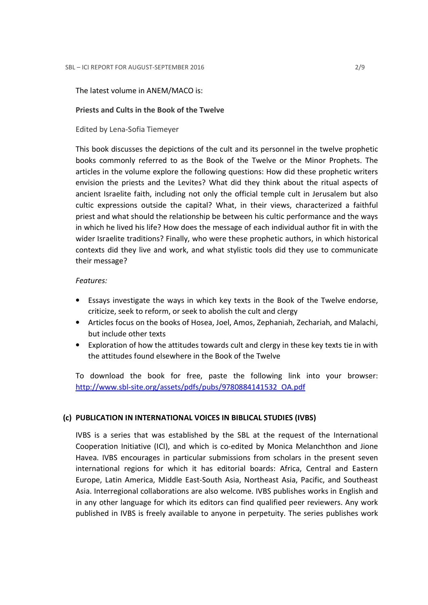## The latest volume in ANEM/MACO is:

## Priests and Cults in the Book of the Twelve

Edited by Lena-Sofia Tiemeyer

This book discusses the depictions of the cult and its personnel in the twelve prophetic books commonly referred to as the Book of the Twelve or the Minor Prophets. The articles in the volume explore the following questions: How did these prophetic writers envision the priests and the Levites? What did they think about the ritual aspects of ancient Israelite faith, including not only the official temple cult in Jerusalem but also cultic expressions outside the capital? What, in their views, characterized a faithful priest and what should the relationship be between his cultic performance and the ways in which he lived his life? How does the message of each individual author fit in with the wider Israelite traditions? Finally, who were these prophetic authors, in which historical contexts did they live and work, and what stylistic tools did they use to communicate their message?

## Features:

- Essays investigate the ways in which key texts in the Book of the Twelve endorse, criticize, seek to reform, or seek to abolish the cult and clergy
- Articles focus on the books of Hosea, Joel, Amos, Zephaniah, Zechariah, and Malachi, but include other texts
- Exploration of how the attitudes towards cult and clergy in these key texts tie in with the attitudes found elsewhere in the Book of the Twelve

To download the book for free, paste the following link into your browser: http://www.sbl-site.org/assets/pdfs/pubs/9780884141532\_OA.pdf

## (c) PUBLICATION IN INTERNATIONAL VOICES IN BIBLICAL STUDIES (IVBS)

IVBS is a series that was established by the SBL at the request of the International Cooperation Initiative (ICI), and which is co-edited by Monica Melanchthon and Jione Havea. IVBS encourages in particular submissions from scholars in the present seven international regions for which it has editorial boards: Africa, Central and Eastern Europe, Latin America, Middle East-South Asia, Northeast Asia, Pacific, and Southeast Asia. Interregional collaborations are also welcome. IVBS publishes works in English and in any other language for which its editors can find qualified peer reviewers. Any work published in IVBS is freely available to anyone in perpetuity. The series publishes work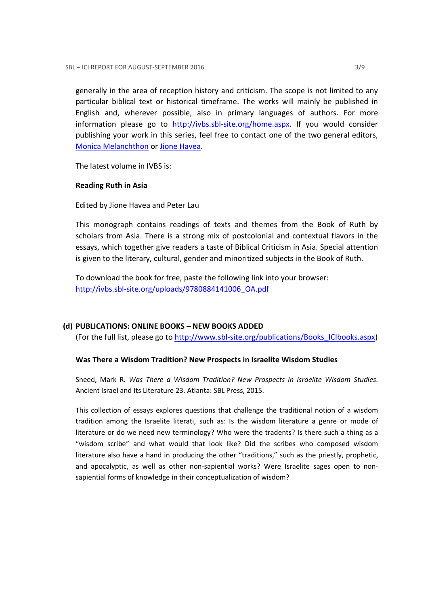generally in the area of reception history and criticism. The scope is not limited to any particular biblical text or historical timeframe. The works will mainly be published in English and, wherever possible, also in primary languages of authors. For more information please go to http://ivbs.sbl-site.org/home.aspx. If you would consider publishing your work in this series, feel free to contact one of the two general editors, Monica Melanchthon or Jione Havea.

The latest volume in IVBS is:

## Reading Ruth in Asia

Edited by Jione Havea and Peter Lau

This monograph contains readings of texts and themes from the Book of Ruth by scholars from Asia. There is a strong mix of postcolonial and contextual flavors in the essays, which together give readers a taste of Biblical Criticism in Asia. Special attention is given to the literary, cultural, gender and minoritized subjects in the Book of Ruth.

To download the book for free, paste the following link into your browser: http://ivbs.sbl-site.org/uploads/9780884141006\_OA.pdf

## (d) PUBLICATIONS: ONLINE BOOKS – NEW BOOKS ADDED

(For the full list, please go to http://www.sbl-site.org/publications/Books\_ICIbooks.aspx)

## Was There a Wisdom Tradition? New Prospects in Israelite Wisdom Studies

Sneed, Mark R. Was There a Wisdom Tradition? New Prospects in Israelite Wisdom Studies. Ancient Israel and Its Literature 23. Atlanta: SBL Press, 2015.

This collection of essays explores questions that challenge the traditional notion of a wisdom tradition among the Israelite literati, such as: Is the wisdom literature a genre or mode of literature or do we need new terminology? Who were the tradents? Is there such a thing as a "wisdom scribe" and what would that look like? Did the scribes who composed wisdom literature also have a hand in producing the other "traditions," such as the priestly, prophetic, and apocalyptic, as well as other non-sapiential works? Were Israelite sages open to nonsapiential forms of knowledge in their conceptualization of wisdom?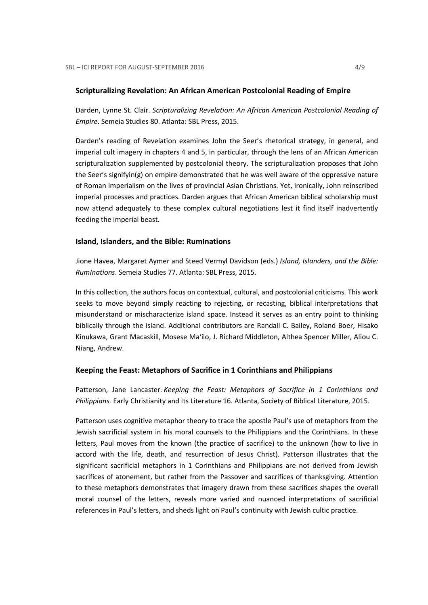#### Scripturalizing Revelation: An African American Postcolonial Reading of Empire

Darden, Lynne St. Clair. Scripturalizing Revelation: An African American Postcolonial Reading of Empire. Semeia Studies 80. Atlanta: SBL Press, 2015.

Darden's reading of Revelation examines John the Seer's rhetorical strategy, in general, and imperial cult imagery in chapters 4 and 5, in particular, through the lens of an African American scripturalization supplemented by postcolonial theory. The scripturalization proposes that John the Seer's signifyin(g) on empire demonstrated that he was well aware of the oppressive nature of Roman imperialism on the lives of provincial Asian Christians. Yet, ironically, John reinscribed imperial processes and practices. Darden argues that African American biblical scholarship must now attend adequately to these complex cultural negotiations lest it find itself inadvertently feeding the imperial beast.

#### Island, Islanders, and the Bible: RumInations

Jione Havea, Margaret Aymer and Steed Vermyl Davidson (eds.) Island, Islanders, and the Bible: RumInations. Semeia Studies 77. Atlanta: SBL Press, 2015.

In this collection, the authors focus on contextual, cultural, and postcolonial criticisms. This work seeks to move beyond simply reacting to rejecting, or recasting, biblical interpretations that misunderstand or mischaracterize island space. Instead it serves as an entry point to thinking biblically through the island. Additional contributors are Randall C. Bailey, Roland Boer, Hisako Kinukawa, Grant Macaskill, Mosese Ma'ilo, J. Richard Middleton, Althea Spencer Miller, Aliou C. Niang, Andrew.

#### Keeping the Feast: Metaphors of Sacrifice in 1 Corinthians and Philippians

Patterson, Jane Lancaster. Keeping the Feast: Metaphors of Sacrifice in 1 Corinthians and Philippians. Early Christianity and Its Literature 16. Atlanta, Society of Biblical Literature, 2015.

Patterson uses cognitive metaphor theory to trace the apostle Paul's use of metaphors from the Jewish sacrificial system in his moral counsels to the Philippians and the Corinthians. In these letters, Paul moves from the known (the practice of sacrifice) to the unknown (how to live in accord with the life, death, and resurrection of Jesus Christ). Patterson illustrates that the significant sacrificial metaphors in 1 Corinthians and Philippians are not derived from Jewish sacrifices of atonement, but rather from the Passover and sacrifices of thanksgiving. Attention to these metaphors demonstrates that imagery drawn from these sacrifices shapes the overall moral counsel of the letters, reveals more varied and nuanced interpretations of sacrificial references in Paul's letters, and sheds light on Paul's continuity with Jewish cultic practice.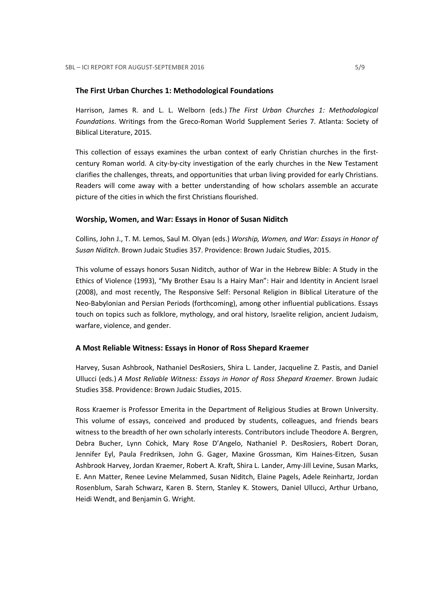#### The First Urban Churches 1: Methodological Foundations

Harrison, James R. and L. L. Welborn (eds.) The First Urban Churches 1: Methodological Foundations. Writings from the Greco-Roman World Supplement Series 7. Atlanta: Society of Biblical Literature, 2015.

This collection of essays examines the urban context of early Christian churches in the firstcentury Roman world. A city-by-city investigation of the early churches in the New Testament clarifies the challenges, threats, and opportunities that urban living provided for early Christians. Readers will come away with a better understanding of how scholars assemble an accurate picture of the cities in which the first Christians flourished.

## Worship, Women, and War: Essays in Honor of Susan Niditch

Collins, John J., T. M. Lemos, Saul M. Olyan (eds.) Worship, Women, and War: Essays in Honor of Susan Niditch. Brown Judaic Studies 357. Providence: Brown Judaic Studies, 2015.

This volume of essays honors Susan Niditch, author of War in the Hebrew Bible: A Study in the Ethics of Violence (1993), "My Brother Esau Is a Hairy Man": Hair and Identity in Ancient Israel (2008), and most recently, The Responsive Self: Personal Religion in Biblical Literature of the Neo-Babylonian and Persian Periods (forthcoming), among other influential publications. Essays touch on topics such as folklore, mythology, and oral history, Israelite religion, ancient Judaism, warfare, violence, and gender.

#### A Most Reliable Witness: Essays in Honor of Ross Shepard Kraemer

Harvey, Susan Ashbrook, Nathaniel DesRosiers, Shira L. Lander, Jacqueline Z. Pastis, and Daniel Ullucci (eds.) A Most Reliable Witness: Essays in Honor of Ross Shepard Kraemer. Brown Judaic Studies 358. Providence: Brown Judaic Studies, 2015.

Ross Kraemer is Professor Emerita in the Department of Religious Studies at Brown University. This volume of essays, conceived and produced by students, colleagues, and friends bears witness to the breadth of her own scholarly interests. Contributors include Theodore A. Bergren, Debra Bucher, Lynn Cohick, Mary Rose D'Angelo, Nathaniel P. DesRosiers, Robert Doran, Jennifer Eyl, Paula Fredriksen, John G. Gager, Maxine Grossman, Kim Haines-Eitzen, Susan Ashbrook Harvey, Jordan Kraemer, Robert A. Kraft, Shira L. Lander, Amy-Jill Levine, Susan Marks, E. Ann Matter, Renee Levine Melammed, Susan Niditch, Elaine Pagels, Adele Reinhartz, Jordan Rosenblum, Sarah Schwarz, Karen B. Stern, Stanley K. Stowers, Daniel Ullucci, Arthur Urbano, Heidi Wendt, and Benjamin G. Wright.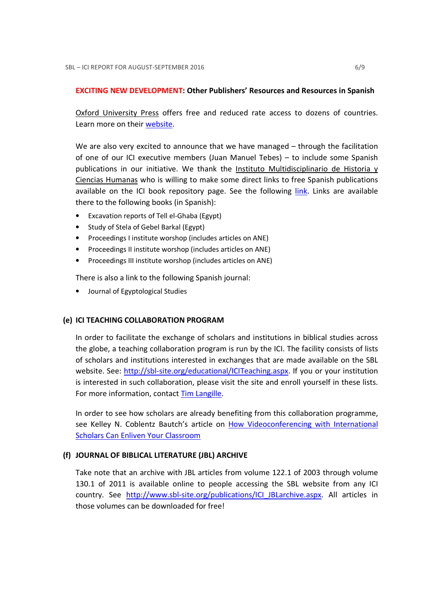## EXCITING NEW DEVELOPMENT: Other Publishers' Resources and Resources in Spanish

Oxford University Press offers free and reduced rate access to dozens of countries. Learn more on their website.

We are also very excited to announce that we have managed – through the facilitation of one of our ICI executive members (Juan Manuel Tebes) – to include some Spanish publications in our initiative. We thank the Instituto Multidisciplinario de Historia y Ciencias Humanas who is willing to make some direct links to free Spanish publications available on the ICI book repository page. See the following link. Links are available there to the following books (in Spanish):

- Excavation reports of Tell el-Ghaba (Egypt)
- Study of Stela of Gebel Barkal (Egypt)
- Proceedings I institute worshop (includes articles on ANE)
- Proceedings II institute worshop (includes articles on ANE)
- Proceedings III institute worshop (includes articles on ANE)

There is also a link to the following Spanish journal:

• Journal of Egyptological Studies

## (e) ICI TEACHING COLLABORATION PROGRAM

In order to facilitate the exchange of scholars and institutions in biblical studies across the globe, a teaching collaboration program is run by the ICI. The facility consists of lists of scholars and institutions interested in exchanges that are made available on the SBL website. See: http://sbl-site.org/educational/ICITeaching.aspx. If you or your institution is interested in such collaboration, please visit the site and enroll yourself in these lists. For more information, contact Tim Langille.

In order to see how scholars are already benefiting from this collaboration programme, see Kelley N. Coblentz Bautch's article on How Videoconferencing with International Scholars Can Enliven Your Classroom

## (f) JOURNAL OF BIBLICAL LITERATURE (JBL) ARCHIVE

Take note that an archive with JBL articles from volume 122.1 of 2003 through volume 130.1 of 2011 is available online to people accessing the SBL website from any ICI country. See http://www.sbl-site.org/publications/ICI\_JBLarchive.aspx. All articles in those volumes can be downloaded for free!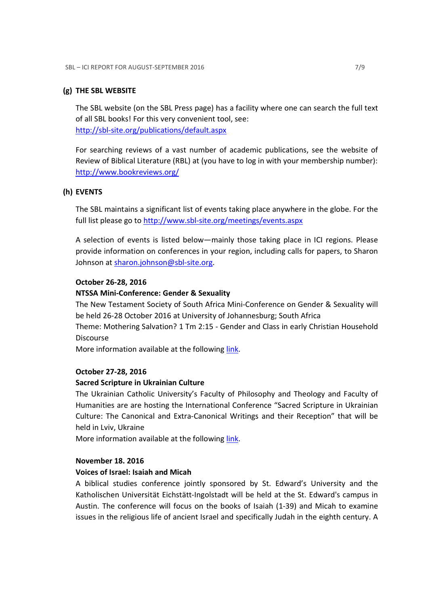## (g) THE SBL WEBSITE

The SBL website (on the SBL Press page) has a facility where one can search the full text of all SBL books! For this very convenient tool, see: http://sbl-site.org/publications/default.aspx

For searching reviews of a vast number of academic publications, see the website of Review of Biblical Literature (RBL) at (you have to log in with your membership number): http://www.bookreviews.org/

## (h) EVENTS

The SBL maintains a significant list of events taking place anywhere in the globe. For the full list please go to http://www.sbl-site.org/meetings/events.aspx

A selection of events is listed below—mainly those taking place in ICI regions. Please provide information on conferences in your region, including calls for papers, to Sharon Johnson at sharon.johnson@sbl-site.org.

#### October 26-28, 2016

#### NTSSA Mini-Conference: Gender & Sexuality

The New Testament Society of South Africa Mini-Conference on Gender & Sexuality will be held 26-28 October 2016 at University of Johannesburg; South Africa

Theme: Mothering Salvation? 1 Tm 2:15 - Gender and Class in early Christian Household Discourse

More information available at the following link.

#### October 27-28, 2016

#### Sacred Scripture in Ukrainian Culture

The Ukrainian Catholic University's Faculty of Philosophy and Theology and Faculty of Humanities are are hosting the International Conference "Sacred Scripture in Ukrainian Culture: The Canonical and Extra-Canonical Writings and their Reception" that will be held in Lviv, Ukraine

More information available at the following link.

## November 18. 2016

## Voices of Israel: Isaiah and Micah

A biblical studies conference jointly sponsored by St. Edward's University and the Katholischen Universität Eichstätt-Ingolstadt will be held at the St. Edward's campus in Austin. The conference will focus on the books of Isaiah (1-39) and Micah to examine issues in the religious life of ancient Israel and specifically Judah in the eighth century. A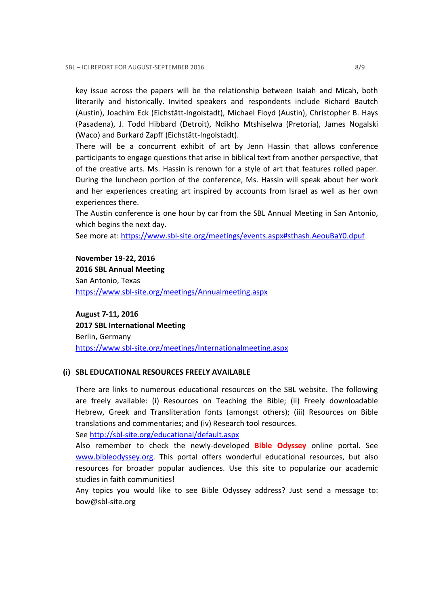key issue across the papers will be the relationship between Isaiah and Micah, both literarily and historically. Invited speakers and respondents include Richard Bautch (Austin), Joachim Eck (Eichstätt-Ingolstadt), Michael Floyd (Austin), Christopher B. Hays (Pasadena), J. Todd Hibbard (Detroit), Ndikho Mtshiselwa (Pretoria), James Nogalski (Waco) and Burkard Zapff (Eichstätt-Ingolstadt).

There will be a concurrent exhibit of art by Jenn Hassin that allows conference participants to engage questions that arise in biblical text from another perspective, that of the creative arts. Ms. Hassin is renown for a style of art that features rolled paper. During the luncheon portion of the conference, Ms. Hassin will speak about her work and her experiences creating art inspired by accounts from Israel as well as her own experiences there.

The Austin conference is one hour by car from the SBL Annual Meeting in San Antonio, which begins the next day.

See more at: https://www.sbl-site.org/meetings/events.aspx#sthash.AeouBaY0.dpuf

November 19-22, 2016 2016 SBL Annual Meeting San Antonio, Texas https://www.sbl-site.org/meetings/Annualmeeting.aspx

August 7-11, 2016 2017 SBL International Meeting Berlin, Germany https://www.sbl-site.org/meetings/Internationalmeeting.aspx

## (i) SBL EDUCATIONAL RESOURCES FREELY AVAILABLE

There are links to numerous educational resources on the SBL website. The following are freely available: (i) Resources on Teaching the Bible; (ii) Freely downloadable Hebrew, Greek and Transliteration fonts (amongst others); (iii) Resources on Bible translations and commentaries; and (iv) Research tool resources.

See http://sbl-site.org/educational/default.aspx

Also remember to check the newly-developed **Bible Odyssey** online portal. See www.bibleodyssey.org. This portal offers wonderful educational resources, but also resources for broader popular audiences. Use this site to popularize our academic studies in faith communities!

Any topics you would like to see Bible Odyssey address? Just send a message to: bow@sbl-site.org